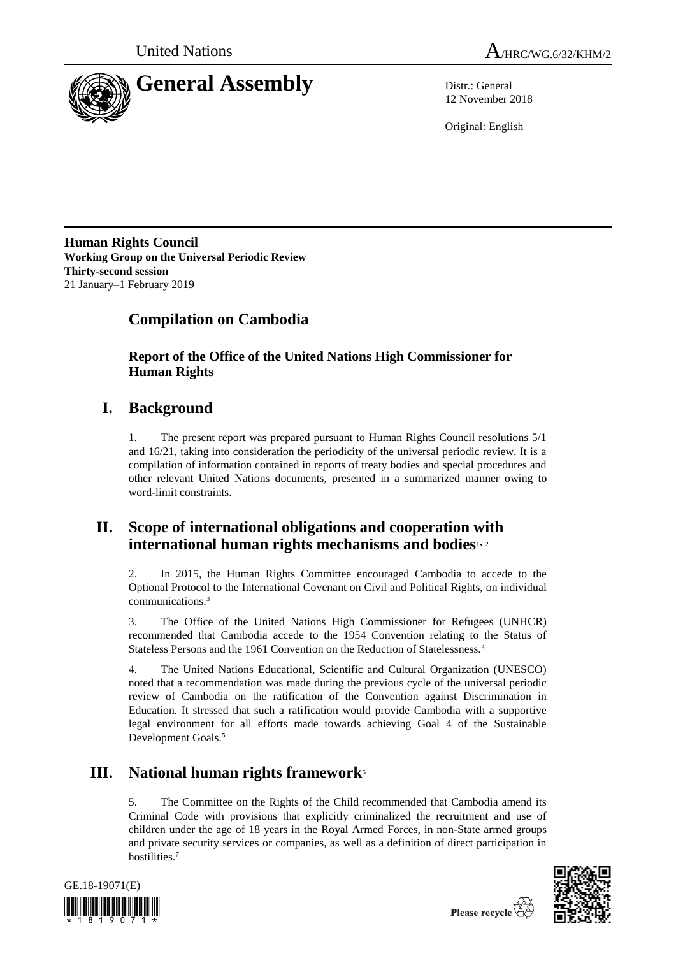



12 November 2018

Original: English

**Human Rights Council Working Group on the Universal Periodic Review Thirty-second session** 21 January–1 February 2019

# **Compilation on Cambodia**

**Report of the Office of the United Nations High Commissioner for Human Rights**

# **I. Background**

1. The present report was prepared pursuant to Human Rights Council resolutions 5/1 and 16/21, taking into consideration the periodicity of the universal periodic review. It is a compilation of information contained in reports of treaty bodies and special procedures and other relevant United Nations documents, presented in a summarized manner owing to word-limit constraints.

## **II. Scope of international obligations and cooperation with international human rights mechanisms and bodies**1, <sup>2</sup>

2. In 2015, the Human Rights Committee encouraged Cambodia to accede to the Optional Protocol to the International Covenant on Civil and Political Rights, on individual communications.<sup>3</sup>

3. The Office of the United Nations High Commissioner for Refugees (UNHCR) recommended that Cambodia accede to the 1954 Convention relating to the Status of Stateless Persons and the 1961 Convention on the Reduction of Statelessness.<sup>4</sup>

4. The United Nations Educational, Scientific and Cultural Organization (UNESCO) noted that a recommendation was made during the previous cycle of the universal periodic review of Cambodia on the ratification of the Convention against Discrimination in Education. It stressed that such a ratification would provide Cambodia with a supportive legal environment for all efforts made towards achieving Goal 4 of the Sustainable Development Goals.<sup>5</sup>

# **III. National human rights framework**<sup>6</sup>

5. The Committee on the Rights of the Child recommended that Cambodia amend its Criminal Code with provisions that explicitly criminalized the recruitment and use of children under the age of 18 years in the Royal Armed Forces, in non-State armed groups and private security services or companies, as well as a definition of direct participation in hostilities.<sup>7</sup>





Please recycle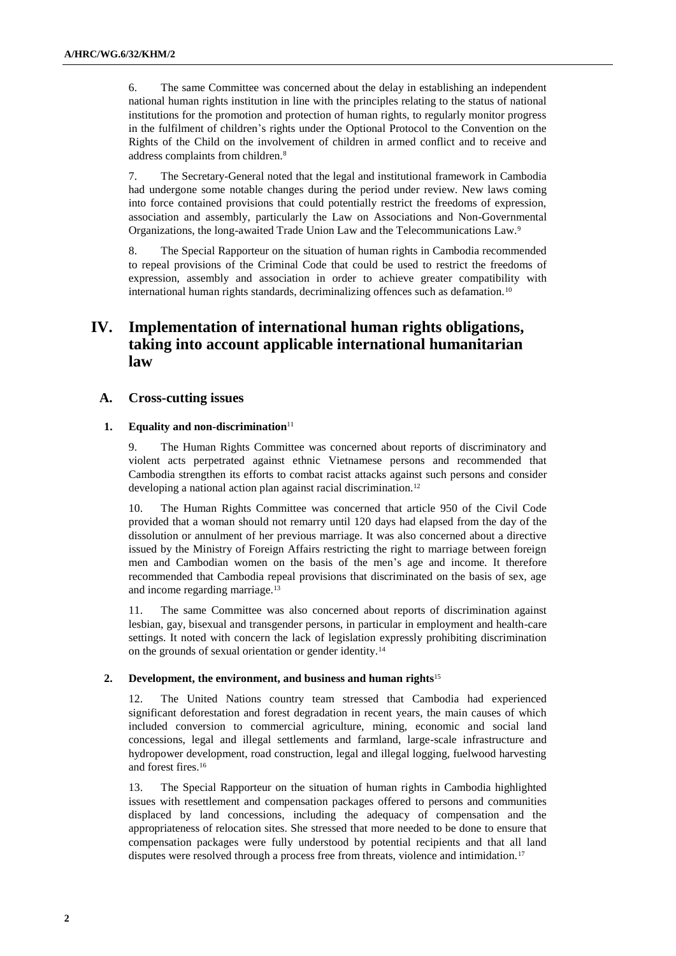6. The same Committee was concerned about the delay in establishing an independent national human rights institution in line with the principles relating to the status of national institutions for the promotion and protection of human rights, to regularly monitor progress in the fulfilment of children's rights under the Optional Protocol to the Convention on the Rights of the Child on the involvement of children in armed conflict and to receive and address complaints from children.<sup>8</sup>

7. The Secretary-General noted that the legal and institutional framework in Cambodia had undergone some notable changes during the period under review. New laws coming into force contained provisions that could potentially restrict the freedoms of expression, association and assembly, particularly the Law on Associations and Non-Governmental Organizations, the long-awaited Trade Union Law and the Telecommunications Law.<sup>9</sup>

8. The Special Rapporteur on the situation of human rights in Cambodia recommended to repeal provisions of the Criminal Code that could be used to restrict the freedoms of expression, assembly and association in order to achieve greater compatibility with international human rights standards, decriminalizing offences such as defamation.<sup>10</sup>

## **IV. Implementation of international human rights obligations, taking into account applicable international humanitarian law**

#### **A. Cross-cutting issues**

#### **1. Equality and non-discrimination**<sup>11</sup>

9. The Human Rights Committee was concerned about reports of discriminatory and violent acts perpetrated against ethnic Vietnamese persons and recommended that Cambodia strengthen its efforts to combat racist attacks against such persons and consider developing a national action plan against racial discrimination.<sup>12</sup>

10. The Human Rights Committee was concerned that article 950 of the Civil Code provided that a woman should not remarry until 120 days had elapsed from the day of the dissolution or annulment of her previous marriage. It was also concerned about a directive issued by the Ministry of Foreign Affairs restricting the right to marriage between foreign men and Cambodian women on the basis of the men's age and income. It therefore recommended that Cambodia repeal provisions that discriminated on the basis of sex, age and income regarding marriage.<sup>13</sup>

11. The same Committee was also concerned about reports of discrimination against lesbian, gay, bisexual and transgender persons, in particular in employment and health-care settings. It noted with concern the lack of legislation expressly prohibiting discrimination on the grounds of sexual orientation or gender identity.<sup>14</sup>

#### **2. Development, the environment, and business and human rights**<sup>15</sup>

12. The United Nations country team stressed that Cambodia had experienced significant deforestation and forest degradation in recent years, the main causes of which included conversion to commercial agriculture, mining, economic and social land concessions, legal and illegal settlements and farmland, large-scale infrastructure and hydropower development, road construction, legal and illegal logging, fuelwood harvesting and forest fires.<sup>16</sup>

13. The Special Rapporteur on the situation of human rights in Cambodia highlighted issues with resettlement and compensation packages offered to persons and communities displaced by land concessions, including the adequacy of compensation and the appropriateness of relocation sites. She stressed that more needed to be done to ensure that compensation packages were fully understood by potential recipients and that all land disputes were resolved through a process free from threats, violence and intimidation.<sup>17</sup>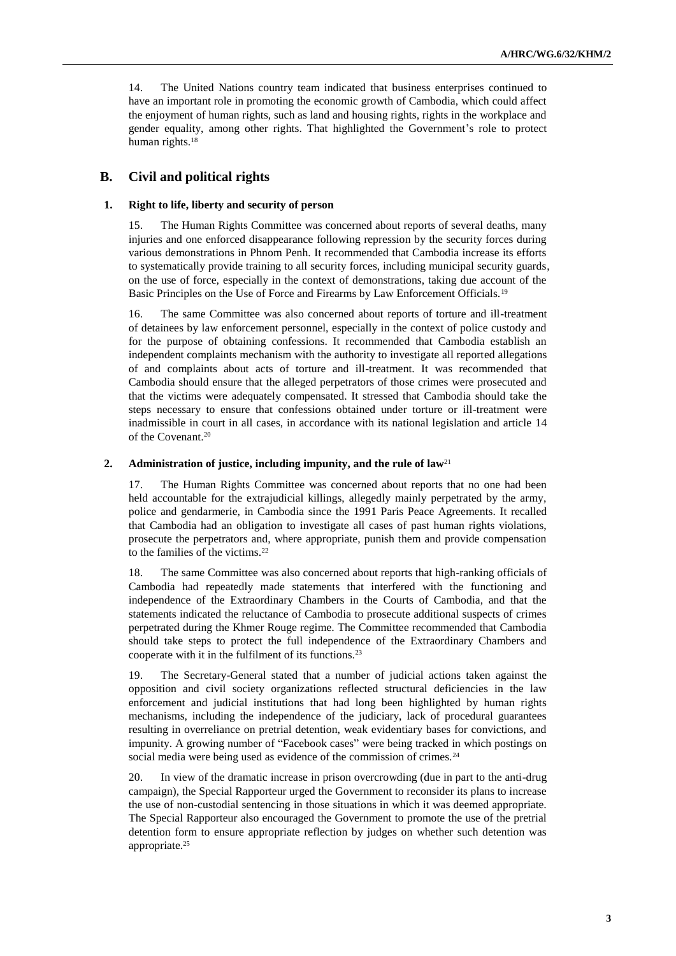14. The United Nations country team indicated that business enterprises continued to have an important role in promoting the economic growth of Cambodia, which could affect the enjoyment of human rights, such as land and housing rights, rights in the workplace and gender equality, among other rights. That highlighted the Government's role to protect human rights.<sup>18</sup>

## **B. Civil and political rights**

#### **1. Right to life, liberty and security of person**

15. The Human Rights Committee was concerned about reports of several deaths, many injuries and one enforced disappearance following repression by the security forces during various demonstrations in Phnom Penh. It recommended that Cambodia increase its efforts to systematically provide training to all security forces, including municipal security guards, on the use of force, especially in the context of demonstrations, taking due account of the Basic Principles on the Use of Force and Firearms by Law Enforcement Officials.<sup>19</sup>

16. The same Committee was also concerned about reports of torture and ill-treatment of detainees by law enforcement personnel, especially in the context of police custody and for the purpose of obtaining confessions. It recommended that Cambodia establish an independent complaints mechanism with the authority to investigate all reported allegations of and complaints about acts of torture and ill-treatment. It was recommended that Cambodia should ensure that the alleged perpetrators of those crimes were prosecuted and that the victims were adequately compensated. It stressed that Cambodia should take the steps necessary to ensure that confessions obtained under torture or ill-treatment were inadmissible in court in all cases, in accordance with its national legislation and article 14 of the Covenant.<sup>20</sup>

#### **2. Administration of justice, including impunity, and the rule of law**<sup>21</sup>

17. The Human Rights Committee was concerned about reports that no one had been held accountable for the extrajudicial killings, allegedly mainly perpetrated by the army, police and gendarmerie, in Cambodia since the 1991 Paris Peace Agreements. It recalled that Cambodia had an obligation to investigate all cases of past human rights violations, prosecute the perpetrators and, where appropriate, punish them and provide compensation to the families of the victims.<sup>22</sup>

18. The same Committee was also concerned about reports that high-ranking officials of Cambodia had repeatedly made statements that interfered with the functioning and independence of the Extraordinary Chambers in the Courts of Cambodia, and that the statements indicated the reluctance of Cambodia to prosecute additional suspects of crimes perpetrated during the Khmer Rouge regime. The Committee recommended that Cambodia should take steps to protect the full independence of the Extraordinary Chambers and cooperate with it in the fulfilment of its functions.<sup>23</sup>

19. The Secretary-General stated that a number of judicial actions taken against the opposition and civil society organizations reflected structural deficiencies in the law enforcement and judicial institutions that had long been highlighted by human rights mechanisms, including the independence of the judiciary, lack of procedural guarantees resulting in overreliance on pretrial detention, weak evidentiary bases for convictions, and impunity. A growing number of "Facebook cases" were being tracked in which postings on social media were being used as evidence of the commission of crimes.<sup>24</sup>

20. In view of the dramatic increase in prison overcrowding (due in part to the anti-drug campaign), the Special Rapporteur urged the Government to reconsider its plans to increase the use of non-custodial sentencing in those situations in which it was deemed appropriate. The Special Rapporteur also encouraged the Government to promote the use of the pretrial detention form to ensure appropriate reflection by judges on whether such detention was appropriate.25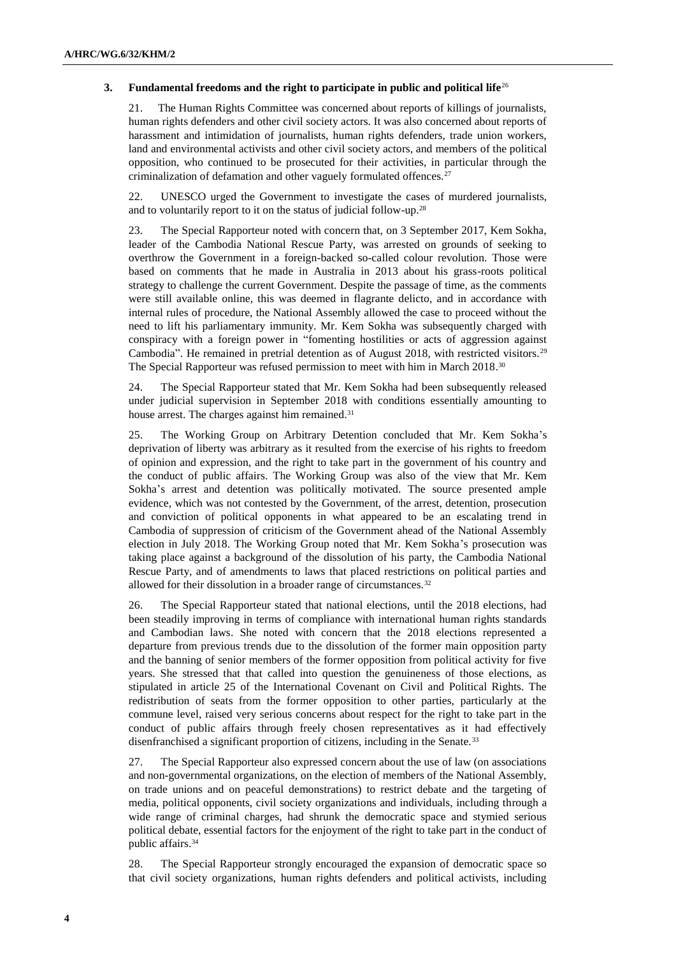#### **3. Fundamental freedoms and the right to participate in public and political life**<sup>26</sup>

21. The Human Rights Committee was concerned about reports of killings of journalists, human rights defenders and other civil society actors. It was also concerned about reports of harassment and intimidation of journalists, human rights defenders, trade union workers, land and environmental activists and other civil society actors, and members of the political opposition, who continued to be prosecuted for their activities, in particular through the criminalization of defamation and other vaguely formulated offences.<sup>27</sup>

22. UNESCO urged the Government to investigate the cases of murdered journalists, and to voluntarily report to it on the status of judicial follow-up.<sup>28</sup>

23. The Special Rapporteur noted with concern that, on 3 September 2017, Kem Sokha, leader of the Cambodia National Rescue Party, was arrested on grounds of seeking to overthrow the Government in a foreign-backed so-called colour revolution. Those were based on comments that he made in Australia in 2013 about his grass-roots political strategy to challenge the current Government. Despite the passage of time, as the comments were still available online, this was deemed in flagrante delicto, and in accordance with internal rules of procedure, the National Assembly allowed the case to proceed without the need to lift his parliamentary immunity. Mr. Kem Sokha was subsequently charged with conspiracy with a foreign power in "fomenting hostilities or acts of aggression against Cambodia". He remained in pretrial detention as of August 2018, with restricted visitors.<sup>29</sup> The Special Rapporteur was refused permission to meet with him in March 2018.<sup>30</sup>

24. The Special Rapporteur stated that Mr. Kem Sokha had been subsequently released under judicial supervision in September 2018 with conditions essentially amounting to house arrest. The charges against him remained.<sup>31</sup>

25. The Working Group on Arbitrary Detention concluded that Mr. Kem Sokha's deprivation of liberty was arbitrary as it resulted from the exercise of his rights to freedom of opinion and expression, and the right to take part in the government of his country and the conduct of public affairs. The Working Group was also of the view that Mr. Kem Sokha's arrest and detention was politically motivated. The source presented ample evidence, which was not contested by the Government, of the arrest, detention, prosecution and conviction of political opponents in what appeared to be an escalating trend in Cambodia of suppression of criticism of the Government ahead of the National Assembly election in July 2018. The Working Group noted that Mr. Kem Sokha's prosecution was taking place against a background of the dissolution of his party, the Cambodia National Rescue Party, and of amendments to laws that placed restrictions on political parties and allowed for their dissolution in a broader range of circumstances.<sup>32</sup>

26. The Special Rapporteur stated that national elections, until the 2018 elections, had been steadily improving in terms of compliance with international human rights standards and Cambodian laws. She noted with concern that the 2018 elections represented a departure from previous trends due to the dissolution of the former main opposition party and the banning of senior members of the former opposition from political activity for five years. She stressed that that called into question the genuineness of those elections, as stipulated in article 25 of the International Covenant on Civil and Political Rights. The redistribution of seats from the former opposition to other parties, particularly at the commune level, raised very serious concerns about respect for the right to take part in the conduct of public affairs through freely chosen representatives as it had effectively disenfranchised a significant proportion of citizens, including in the Senate.<sup>33</sup>

27. The Special Rapporteur also expressed concern about the use of law (on associations and non-governmental organizations, on the election of members of the National Assembly, on trade unions and on peaceful demonstrations) to restrict debate and the targeting of media, political opponents, civil society organizations and individuals, including through a wide range of criminal charges, had shrunk the democratic space and stymied serious political debate, essential factors for the enjoyment of the right to take part in the conduct of public affairs.<sup>34</sup>

28. The Special Rapporteur strongly encouraged the expansion of democratic space so that civil society organizations, human rights defenders and political activists, including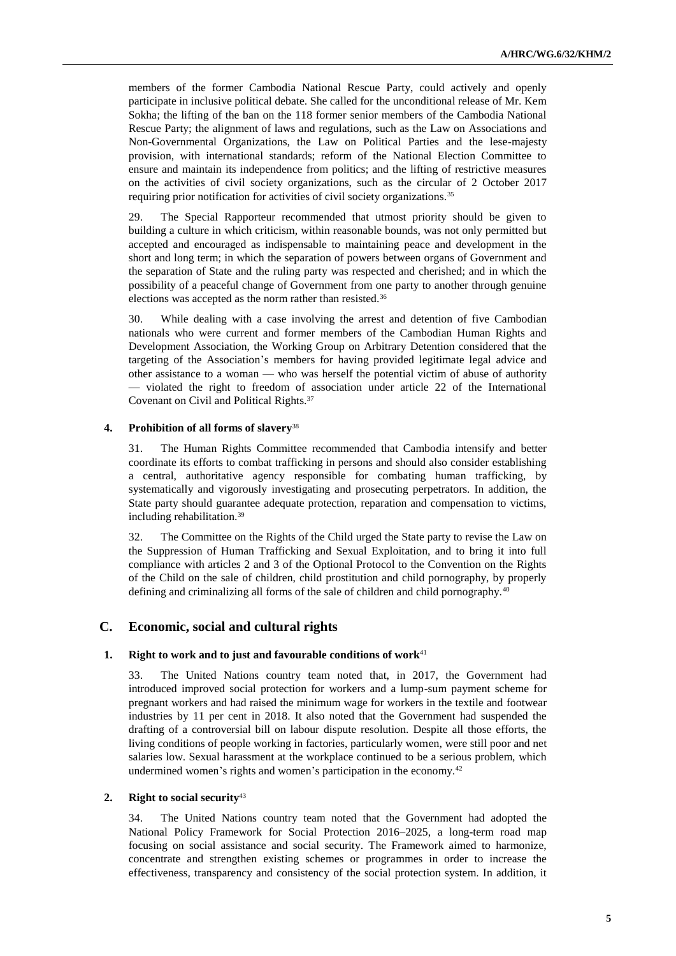members of the former Cambodia National Rescue Party, could actively and openly participate in inclusive political debate. She called for the unconditional release of Mr. Kem Sokha; the lifting of the ban on the 118 former senior members of the Cambodia National Rescue Party; the alignment of laws and regulations, such as the Law on Associations and Non-Governmental Organizations, the Law on Political Parties and the lese-majesty provision, with international standards; reform of the National Election Committee to ensure and maintain its independence from politics; and the lifting of restrictive measures on the activities of civil society organizations, such as the circular of 2 October 2017 requiring prior notification for activities of civil society organizations.<sup>35</sup>

29. The Special Rapporteur recommended that utmost priority should be given to building a culture in which criticism, within reasonable bounds, was not only permitted but accepted and encouraged as indispensable to maintaining peace and development in the short and long term; in which the separation of powers between organs of Government and the separation of State and the ruling party was respected and cherished; and in which the possibility of a peaceful change of Government from one party to another through genuine elections was accepted as the norm rather than resisted.<sup>36</sup>

30. While dealing with a case involving the arrest and detention of five Cambodian nationals who were current and former members of the Cambodian Human Rights and Development Association, the Working Group on Arbitrary Detention considered that the targeting of the Association's members for having provided legitimate legal advice and other assistance to a woman — who was herself the potential victim of abuse of authority — violated the right to freedom of association under article 22 of the International Covenant on Civil and Political Rights.<sup>37</sup>

#### **4. Prohibition of all forms of slavery**<sup>38</sup>

31. The Human Rights Committee recommended that Cambodia intensify and better coordinate its efforts to combat trafficking in persons and should also consider establishing a central, authoritative agency responsible for combating human trafficking, by systematically and vigorously investigating and prosecuting perpetrators. In addition, the State party should guarantee adequate protection, reparation and compensation to victims, including rehabilitation.<sup>39</sup>

32. The Committee on the Rights of the Child urged the State party to revise the Law on the Suppression of Human Trafficking and Sexual Exploitation, and to bring it into full compliance with articles 2 and 3 of the Optional Protocol to the Convention on the Rights of the Child on the sale of children, child prostitution and child pornography, by properly defining and criminalizing all forms of the sale of children and child pornography.<sup>40</sup>

### **C. Economic, social and cultural rights**

#### **1. Right to work and to just and favourable conditions of work**<sup>41</sup>

33. The United Nations country team noted that, in 2017, the Government had introduced improved social protection for workers and a lump-sum payment scheme for pregnant workers and had raised the minimum wage for workers in the textile and footwear industries by 11 per cent in 2018. It also noted that the Government had suspended the drafting of a controversial bill on labour dispute resolution. Despite all those efforts, the living conditions of people working in factories, particularly women, were still poor and net salaries low. Sexual harassment at the workplace continued to be a serious problem, which undermined women's rights and women's participation in the economy.<sup>42</sup>

#### **2. Right to social security**<sup>43</sup>

34. The United Nations country team noted that the Government had adopted the National Policy Framework for Social Protection 2016–2025, a long-term road map focusing on social assistance and social security. The Framework aimed to harmonize, concentrate and strengthen existing schemes or programmes in order to increase the effectiveness, transparency and consistency of the social protection system. In addition, it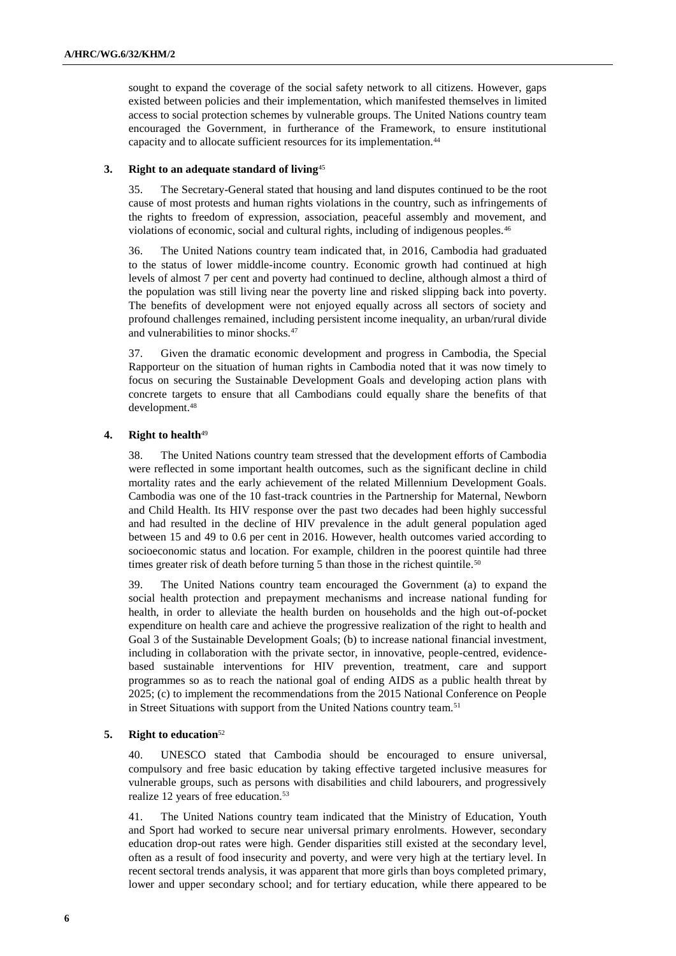sought to expand the coverage of the social safety network to all citizens. However, gaps existed between policies and their implementation, which manifested themselves in limited access to social protection schemes by vulnerable groups. The United Nations country team encouraged the Government, in furtherance of the Framework, to ensure institutional capacity and to allocate sufficient resources for its implementation.<sup>44</sup>

#### **3. Right to an adequate standard of living**<sup>45</sup>

35. The Secretary-General stated that housing and land disputes continued to be the root cause of most protests and human rights violations in the country, such as infringements of the rights to freedom of expression, association, peaceful assembly and movement, and violations of economic, social and cultural rights, including of indigenous peoples.<sup>46</sup>

36. The United Nations country team indicated that, in 2016, Cambodia had graduated to the status of lower middle-income country. Economic growth had continued at high levels of almost 7 per cent and poverty had continued to decline, although almost a third of the population was still living near the poverty line and risked slipping back into poverty. The benefits of development were not enjoyed equally across all sectors of society and profound challenges remained, including persistent income inequality, an urban/rural divide and vulnerabilities to minor shocks.<sup>47</sup>

37. Given the dramatic economic development and progress in Cambodia, the Special Rapporteur on the situation of human rights in Cambodia noted that it was now timely to focus on securing the Sustainable Development Goals and developing action plans with concrete targets to ensure that all Cambodians could equally share the benefits of that development.<sup>48</sup>

#### **4. Right to health**<sup>49</sup>

38. The United Nations country team stressed that the development efforts of Cambodia were reflected in some important health outcomes, such as the significant decline in child mortality rates and the early achievement of the related Millennium Development Goals. Cambodia was one of the 10 fast-track countries in the Partnership for Maternal, Newborn and Child Health. Its HIV response over the past two decades had been highly successful and had resulted in the decline of HIV prevalence in the adult general population aged between 15 and 49 to 0.6 per cent in 2016. However, health outcomes varied according to socioeconomic status and location. For example, children in the poorest quintile had three times greater risk of death before turning 5 than those in the richest quintile.<sup>50</sup>

39. The United Nations country team encouraged the Government (a) to expand the social health protection and prepayment mechanisms and increase national funding for health, in order to alleviate the health burden on households and the high out-of-pocket expenditure on health care and achieve the progressive realization of the right to health and Goal 3 of the Sustainable Development Goals; (b) to increase national financial investment, including in collaboration with the private sector, in innovative, people-centred, evidencebased sustainable interventions for HIV prevention, treatment, care and support programmes so as to reach the national goal of ending AIDS as a public health threat by 2025; (c) to implement the recommendations from the 2015 National Conference on People in Street Situations with support from the United Nations country team.<sup>51</sup>

#### **5. Right to education**<sup>52</sup>

40. UNESCO stated that Cambodia should be encouraged to ensure universal, compulsory and free basic education by taking effective targeted inclusive measures for vulnerable groups, such as persons with disabilities and child labourers, and progressively realize 12 years of free education.<sup>53</sup>

41. The United Nations country team indicated that the Ministry of Education, Youth and Sport had worked to secure near universal primary enrolments. However, secondary education drop-out rates were high. Gender disparities still existed at the secondary level, often as a result of food insecurity and poverty, and were very high at the tertiary level. In recent sectoral trends analysis, it was apparent that more girls than boys completed primary, lower and upper secondary school; and for tertiary education, while there appeared to be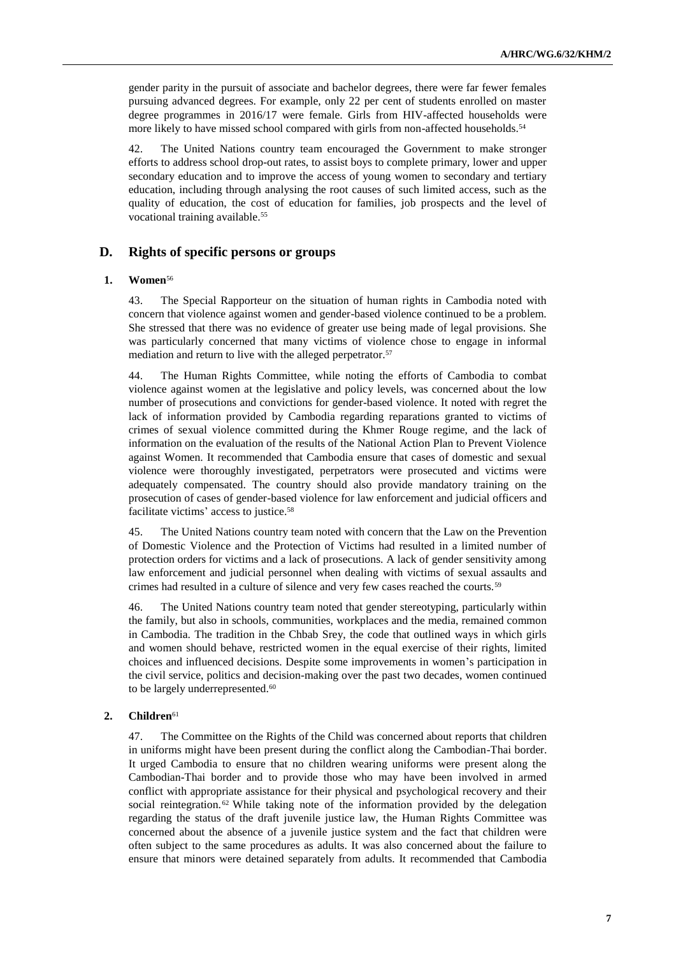gender parity in the pursuit of associate and bachelor degrees, there were far fewer females pursuing advanced degrees. For example, only 22 per cent of students enrolled on master degree programmes in 2016/17 were female. Girls from HIV-affected households were more likely to have missed school compared with girls from non-affected households.<sup>54</sup>

42. The United Nations country team encouraged the Government to make stronger efforts to address school drop-out rates, to assist boys to complete primary, lower and upper secondary education and to improve the access of young women to secondary and tertiary education, including through analysing the root causes of such limited access, such as the quality of education, the cost of education for families, job prospects and the level of vocational training available.<sup>55</sup>

### **D. Rights of specific persons or groups**

#### **1. Women**<sup>56</sup>

43. The Special Rapporteur on the situation of human rights in Cambodia noted with concern that violence against women and gender-based violence continued to be a problem. She stressed that there was no evidence of greater use being made of legal provisions. She was particularly concerned that many victims of violence chose to engage in informal mediation and return to live with the alleged perpetrator.<sup>57</sup>

44. The Human Rights Committee, while noting the efforts of Cambodia to combat violence against women at the legislative and policy levels, was concerned about the low number of prosecutions and convictions for gender-based violence. It noted with regret the lack of information provided by Cambodia regarding reparations granted to victims of crimes of sexual violence committed during the Khmer Rouge regime, and the lack of information on the evaluation of the results of the National Action Plan to Prevent Violence against Women. It recommended that Cambodia ensure that cases of domestic and sexual violence were thoroughly investigated, perpetrators were prosecuted and victims were adequately compensated. The country should also provide mandatory training on the prosecution of cases of gender-based violence for law enforcement and judicial officers and facilitate victims' access to justice.<sup>58</sup>

45. The United Nations country team noted with concern that the Law on the Prevention of Domestic Violence and the Protection of Victims had resulted in a limited number of protection orders for victims and a lack of prosecutions. A lack of gender sensitivity among law enforcement and judicial personnel when dealing with victims of sexual assaults and crimes had resulted in a culture of silence and very few cases reached the courts.<sup>59</sup>

46. The United Nations country team noted that gender stereotyping, particularly within the family, but also in schools, communities, workplaces and the media, remained common in Cambodia. The tradition in the Chbab Srey, the code that outlined ways in which girls and women should behave, restricted women in the equal exercise of their rights, limited choices and influenced decisions. Despite some improvements in women's participation in the civil service, politics and decision-making over the past two decades, women continued to be largely underrepresented.<sup>60</sup>

#### **2. Children**<sup>61</sup>

47. The Committee on the Rights of the Child was concerned about reports that children in uniforms might have been present during the conflict along the Cambodian-Thai border. It urged Cambodia to ensure that no children wearing uniforms were present along the Cambodian-Thai border and to provide those who may have been involved in armed conflict with appropriate assistance for their physical and psychological recovery and their social reintegration.<sup>62</sup> While taking note of the information provided by the delegation regarding the status of the draft juvenile justice law, the Human Rights Committee was concerned about the absence of a juvenile justice system and the fact that children were often subject to the same procedures as adults. It was also concerned about the failure to ensure that minors were detained separately from adults. It recommended that Cambodia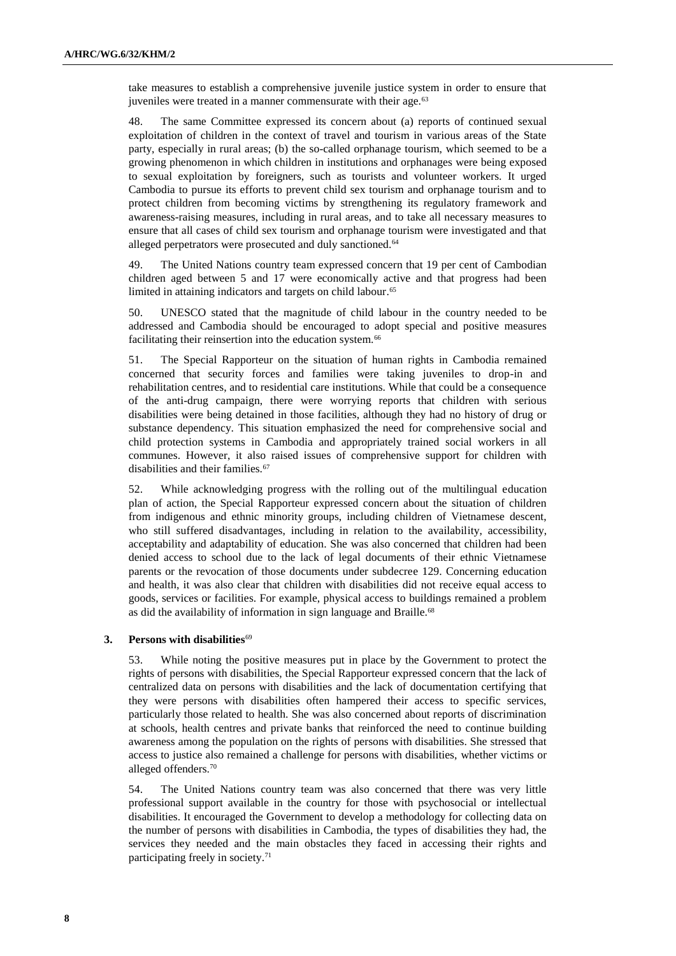take measures to establish a comprehensive juvenile justice system in order to ensure that juveniles were treated in a manner commensurate with their age.<sup>63</sup>

48. The same Committee expressed its concern about (a) reports of continued sexual exploitation of children in the context of travel and tourism in various areas of the State party, especially in rural areas; (b) the so-called orphanage tourism, which seemed to be a growing phenomenon in which children in institutions and orphanages were being exposed to sexual exploitation by foreigners, such as tourists and volunteer workers. It urged Cambodia to pursue its efforts to prevent child sex tourism and orphanage tourism and to protect children from becoming victims by strengthening its regulatory framework and awareness-raising measures, including in rural areas, and to take all necessary measures to ensure that all cases of child sex tourism and orphanage tourism were investigated and that alleged perpetrators were prosecuted and duly sanctioned.<sup>64</sup>

49. The United Nations country team expressed concern that 19 per cent of Cambodian children aged between 5 and 17 were economically active and that progress had been limited in attaining indicators and targets on child labour. 65

50. UNESCO stated that the magnitude of child labour in the country needed to be addressed and Cambodia should be encouraged to adopt special and positive measures facilitating their reinsertion into the education system.<sup>66</sup>

51. The Special Rapporteur on the situation of human rights in Cambodia remained concerned that security forces and families were taking juveniles to drop-in and rehabilitation centres, and to residential care institutions. While that could be a consequence of the anti-drug campaign, there were worrying reports that children with serious disabilities were being detained in those facilities, although they had no history of drug or substance dependency. This situation emphasized the need for comprehensive social and child protection systems in Cambodia and appropriately trained social workers in all communes. However, it also raised issues of comprehensive support for children with disabilities and their families.<sup>67</sup>

52. While acknowledging progress with the rolling out of the multilingual education plan of action, the Special Rapporteur expressed concern about the situation of children from indigenous and ethnic minority groups, including children of Vietnamese descent, who still suffered disadvantages, including in relation to the availability, accessibility, acceptability and adaptability of education. She was also concerned that children had been denied access to school due to the lack of legal documents of their ethnic Vietnamese parents or the revocation of those documents under subdecree 129. Concerning education and health, it was also clear that children with disabilities did not receive equal access to goods, services or facilities. For example, physical access to buildings remained a problem as did the availability of information in sign language and Braille.<sup>68</sup>

#### **3.** Persons with disabilities<sup>69</sup>

53. While noting the positive measures put in place by the Government to protect the rights of persons with disabilities, the Special Rapporteur expressed concern that the lack of centralized data on persons with disabilities and the lack of documentation certifying that they were persons with disabilities often hampered their access to specific services, particularly those related to health. She was also concerned about reports of discrimination at schools, health centres and private banks that reinforced the need to continue building awareness among the population on the rights of persons with disabilities. She stressed that access to justice also remained a challenge for persons with disabilities, whether victims or alleged offenders.<sup>70</sup>

54. The United Nations country team was also concerned that there was very little professional support available in the country for those with psychosocial or intellectual disabilities. It encouraged the Government to develop a methodology for collecting data on the number of persons with disabilities in Cambodia, the types of disabilities they had, the services they needed and the main obstacles they faced in accessing their rights and participating freely in society. 71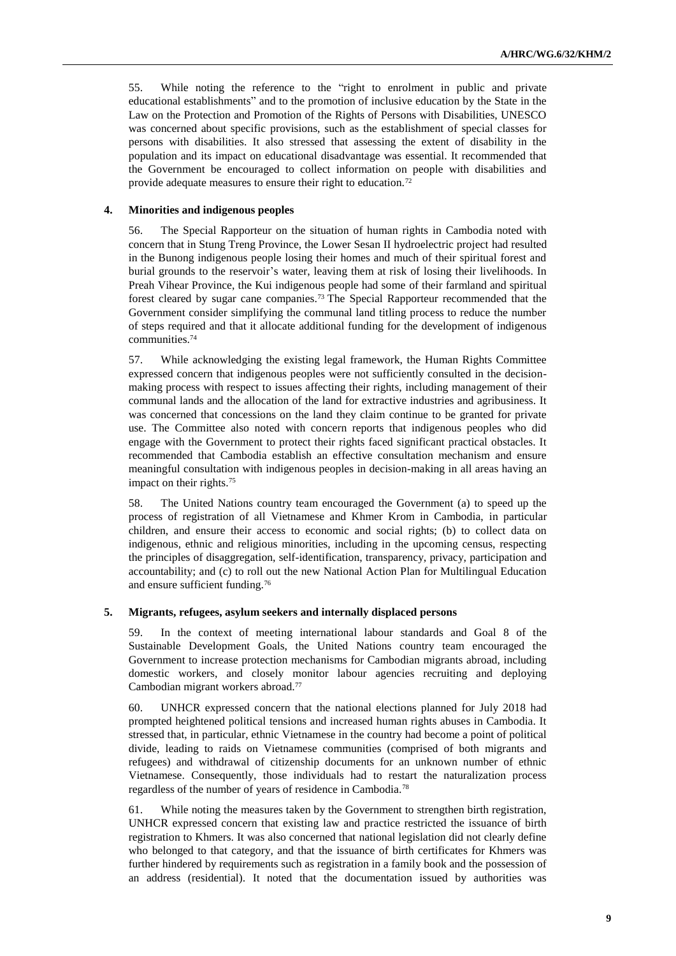55. While noting the reference to the "right to enrolment in public and private educational establishments" and to the promotion of inclusive education by the State in the Law on the Protection and Promotion of the Rights of Persons with Disabilities, UNESCO was concerned about specific provisions, such as the establishment of special classes for persons with disabilities. It also stressed that assessing the extent of disability in the population and its impact on educational disadvantage was essential. It recommended that the Government be encouraged to collect information on people with disabilities and provide adequate measures to ensure their right to education.<sup>72</sup>

#### **4. Minorities and indigenous peoples**

56. The Special Rapporteur on the situation of human rights in Cambodia noted with concern that in Stung Treng Province, the Lower Sesan II hydroelectric project had resulted in the Bunong indigenous people losing their homes and much of their spiritual forest and burial grounds to the reservoir's water, leaving them at risk of losing their livelihoods. In Preah Vihear Province, the Kui indigenous people had some of their farmland and spiritual forest cleared by sugar cane companies.<sup>73</sup> The Special Rapporteur recommended that the Government consider simplifying the communal land titling process to reduce the number of steps required and that it allocate additional funding for the development of indigenous communities.<sup>74</sup>

57. While acknowledging the existing legal framework, the Human Rights Committee expressed concern that indigenous peoples were not sufficiently consulted in the decisionmaking process with respect to issues affecting their rights, including management of their communal lands and the allocation of the land for extractive industries and agribusiness. It was concerned that concessions on the land they claim continue to be granted for private use. The Committee also noted with concern reports that indigenous peoples who did engage with the Government to protect their rights faced significant practical obstacles. It recommended that Cambodia establish an effective consultation mechanism and ensure meaningful consultation with indigenous peoples in decision-making in all areas having an impact on their rights.<sup>75</sup>

58. The United Nations country team encouraged the Government (a) to speed up the process of registration of all Vietnamese and Khmer Krom in Cambodia, in particular children, and ensure their access to economic and social rights; (b) to collect data on indigenous, ethnic and religious minorities, including in the upcoming census, respecting the principles of disaggregation, self-identification, transparency, privacy, participation and accountability; and (c) to roll out the new National Action Plan for Multilingual Education and ensure sufficient funding.<sup>76</sup>

## **5. Migrants, refugees, asylum seekers and internally displaced persons**

59. In the context of meeting international labour standards and Goal 8 of the Sustainable Development Goals, the United Nations country team encouraged the Government to increase protection mechanisms for Cambodian migrants abroad, including domestic workers, and closely monitor labour agencies recruiting and deploying Cambodian migrant workers abroad.<sup>77</sup>

60. UNHCR expressed concern that the national elections planned for July 2018 had prompted heightened political tensions and increased human rights abuses in Cambodia. It stressed that, in particular, ethnic Vietnamese in the country had become a point of political divide, leading to raids on Vietnamese communities (comprised of both migrants and refugees) and withdrawal of citizenship documents for an unknown number of ethnic Vietnamese. Consequently, those individuals had to restart the naturalization process regardless of the number of years of residence in Cambodia.<sup>78</sup>

61. While noting the measures taken by the Government to strengthen birth registration, UNHCR expressed concern that existing law and practice restricted the issuance of birth registration to Khmers. It was also concerned that national legislation did not clearly define who belonged to that category, and that the issuance of birth certificates for Khmers was further hindered by requirements such as registration in a family book and the possession of an address (residential). It noted that the documentation issued by authorities was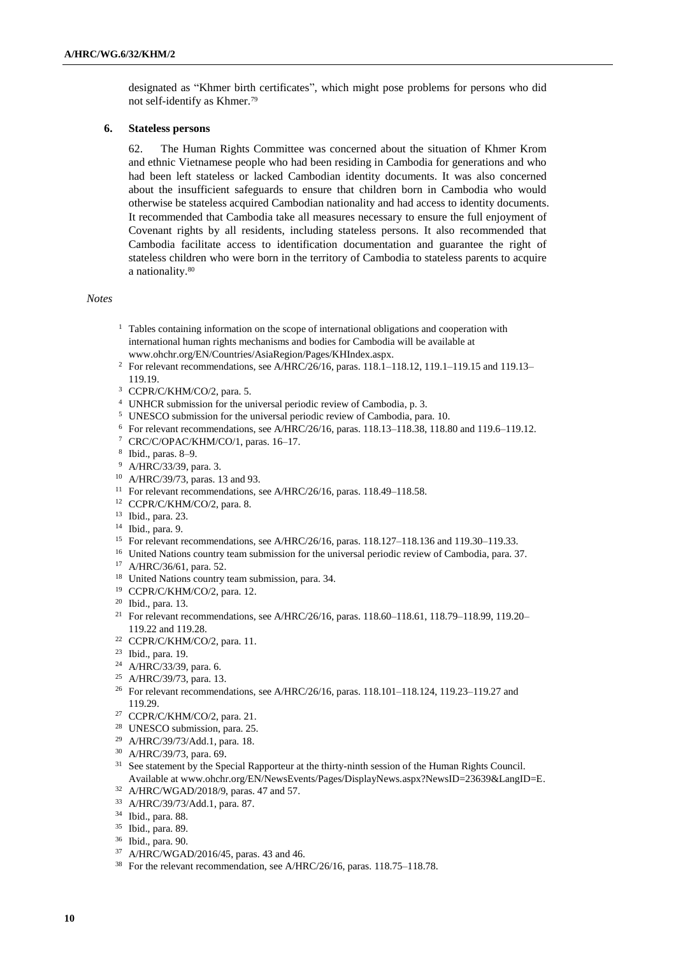designated as "Khmer birth certificates", which might pose problems for persons who did not self-identify as Khmer.<sup>79</sup>

#### **6. Stateless persons**

62. The Human Rights Committee was concerned about the situation of Khmer Krom and ethnic Vietnamese people who had been residing in Cambodia for generations and who had been left stateless or lacked Cambodian identity documents. It was also concerned about the insufficient safeguards to ensure that children born in Cambodia who would otherwise be stateless acquired Cambodian nationality and had access to identity documents. It recommended that Cambodia take all measures necessary to ensure the full enjoyment of Covenant rights by all residents, including stateless persons. It also recommended that Cambodia facilitate access to identification documentation and guarantee the right of stateless children who were born in the territory of Cambodia to stateless parents to acquire a nationality.<sup>80</sup>

#### *Notes*

- <sup>1</sup> Tables containing information on the scope of international obligations and cooperation with international human rights mechanisms and bodies for Cambodia will be available at [www.ohchr.org/EN/Countries/AsiaRegion/Pages/KHIndex.aspx.](https://www.ohchr.org/EN/Countries/AsiaRegion/Pages/KHIndex.aspx)
- <sup>2</sup> For relevant recommendations, see A/HRC/26/16, paras. 118.1-118.12, 119.1-119.15 and 119.13-119.19.
- <sup>3</sup> CCPR/C/KHM/CO/2, para. 5.
- <sup>4</sup> UNHCR submission for the universal periodic review of Cambodia, p. 3.
- <sup>5</sup> UNESCO submission for the universal periodic review of Cambodia, para. 10.
- <sup>6</sup> For relevant recommendations, see A/HRC/26/16, paras. 118.13–118.38, 118.80 and 119.6–119.12.
- <sup>7</sup> CRC/C/OPAC/KHM/CO/1, paras. 16–17.
- 8 Ibid., paras. 8–9.
- <sup>9</sup> A/HRC/33/39, para. 3.
- <sup>10</sup> A/HRC/39/73, paras. 13 and 93.
- <sup>11</sup> For relevant recommendations, see A/HRC/26/16, paras. 118.49–118.58.
- <sup>12</sup> CCPR/C/KHM/CO/2, para. 8.
- <sup>13</sup> Ibid., para. 23.
- <sup>14</sup> Ibid., para. 9.
- <sup>15</sup> For relevant recommendations, see A/HRC/26/16, paras. 118.127–118.136 and 119.30–119.33.
- <sup>16</sup> United Nations country team submission for the universal periodic review of Cambodia, para. 37.
- <sup>17</sup> A/HRC/36/61, para. 52.
- <sup>18</sup> United Nations country team submission, para. 34.
- <sup>19</sup> CCPR/C/KHM/CO/2, para. 12.
- <sup>20</sup> Ibid., para. 13.
- <sup>21</sup> For relevant recommendations, see A/HRC/26/16, paras. 118.60-118.61, 118.79-118.99, 119.20-119.22 and 119.28.
- <sup>22</sup> CCPR/C/KHM/CO/2, para. 11.
- <sup>23</sup> Ibid., para. 19.
- <sup>24</sup> A/HRC/33/39, para. 6.
- <sup>25</sup> A/HRC/39/73, para. 13.
- <sup>26</sup> For relevant recommendations, see A/HRC/26/16, paras. 118.101-118.124, 119.23-119.27 and 119.29.
- <sup>27</sup> CCPR/C/KHM/CO/2, para. 21.
- <sup>28</sup> UNESCO submission, para. 25.
- <sup>29</sup> A/HRC/39/73/Add.1, para. 18.
- <sup>30</sup> A/HRC/39/73, para. 69.
- <sup>31</sup> See statement by the Special Rapporteur at the thirty-ninth session of the Human Rights Council. Available at [www.ohchr.org/EN/NewsEvents/Pages/DisplayNews.aspx?NewsID=23639&LangID=E.](https://www.ohchr.org/EN/NewsEvents/Pages/DisplayNews.aspx?NewsID=23639&LangID=E)
- <sup>32</sup> A/HRC/WGAD/2018/9, paras. 47 and 57.
- <sup>33</sup> A/HRC/39/73/Add.1, para. 87.
- <sup>34</sup> Ibid., para. 88.
- <sup>35</sup> Ibid., para. 89.
- <sup>36</sup> Ibid., para. 90.
- <sup>37</sup> A/HRC/WGAD/2016/45, paras. 43 and 46.
- <sup>38</sup> For the relevant recommendation, see A/HRC/26/16, paras. 118.75–118.78.